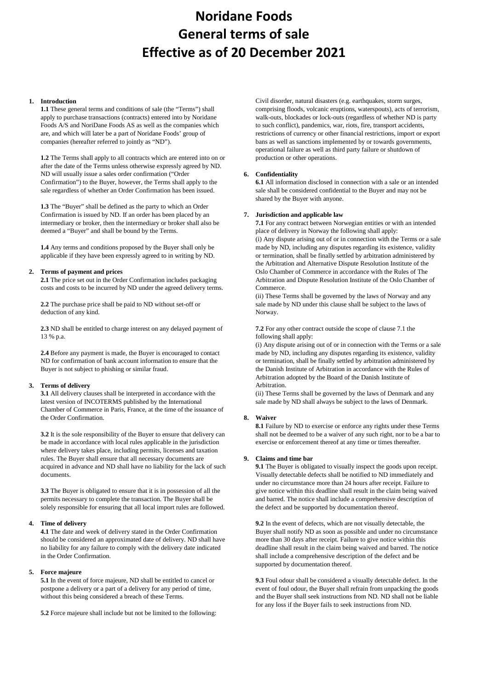# **Noridane Foods General terms of sale Effective as of 20 December 2021**

# **1. Introduction**

**1.1** These general terms and conditions of sale (the "Terms") shall apply to purchase transactions (contracts) entered into by Noridane Foods A/S and NoriDane Foods AS as well as the companies which are, and which will later be a part of Noridane Foods' group of companies (hereafter referred to jointly as "ND").

**1.2** The Terms shall apply to all contracts which are entered into on or after the date of the Terms unless otherwise expressly agreed by ND. ND will usually issue a sales order confirmation ("Order Confirmation") to the Buyer, however, the Terms shall apply to the sale regardless of whether an Order Confirmation has been issued.

**1.3** The "Buyer" shall be defined as the party to which an Order Confirmation is issued by ND. If an order has been placed by an intermediary or broker, then the intermediary or broker shall also be deemed a "Buyer" and shall be bound by the Terms.

**1.4** Any terms and conditions proposed by the Buyer shall only be applicable if they have been expressly agreed to in writing by ND.

# **2. Terms of payment and prices**

**2.1** The price set out in the Order Confirmation includes packaging costs and costs to be incurred by ND under the agreed delivery terms.

**2.2** The purchase price shall be paid to ND without set-off or deduction of any kind.

**2.3** ND shall be entitled to charge interest on any delayed payment of 13 % p.a.

**2.4** Before any payment is made, the Buyer is encouraged to contact ND for confirmation of bank account information to ensure that the Buyer is not subject to phishing or similar fraud.

# **3. Terms of delivery**

**3.1** All delivery clauses shall be interpreted in accordance with the latest version of INCOTERMS published by the International Chamber of Commerce in Paris, France, at the time of the issuance of the Order Confirmation.

**3.2** It is the sole responsibility of the Buyer to ensure that delivery can be made in accordance with local rules applicable in the jurisdiction where delivery takes place, including permits, licenses and taxation rules. The Buyer shall ensure that all necessary documents are acquired in advance and ND shall have no liability for the lack of such documents.

**3.3** The Buyer is obligated to ensure that it is in possession of all the permits necessary to complete the transaction. The Buyer shall be solely responsible for ensuring that all local import rules are followed.

# **4. Time of delivery**

**4.1** The date and week of delivery stated in the Order Confirmation should be considered an approximated date of delivery. ND shall have no liability for any failure to comply with the delivery date indicated in the Order Confirmation.

#### **5. Force majeure**

**5.1** In the event of force majeure, ND shall be entitled to cancel or postpone a delivery or a part of a delivery for any period of time, without this being considered a breach of these Terms.

**5.2** Force majeure shall include but not be limited to the following:

Civil disorder, natural disasters (e.g. earthquakes, storm surges, comprising floods, volcanic eruptions, waterspouts), acts of terrorism, walk-outs, blockades or lock-outs (regardless of whether ND is party to such conflict), pandemics, war, riots, fire, transport accidents, restrictions of currency or other financial restrictions, import or export bans as well as sanctions implemented by or towards governments, operational failure as well as third party failure or shutdown of production or other operations.

# **6. Confidentiality**

**6.1** All information disclosed in connection with a sale or an intended sale shall be considered confidential to the Buyer and may not be shared by the Buyer with anyone.

# **7. Jurisdiction and applicable law**

**7.1** For any contract between Norwegian entities or with an intended place of delivery in Norway the following shall apply: (i) Any dispute arising out of or in connection with the Terms or a sale made by ND, including any disputes regarding its existence, validity or termination, shall be finally settled by arbitration administered by the Arbitration and Alternative Dispute Resolution Institute of the Oslo Chamber of Commerce in accordance with the Rules of The Arbitration and Dispute Resolution Institute of the Oslo Chamber of Commerce.

(ii) These Terms shall be governed by the laws of Norway and any sale made by ND under this clause shall be subject to the laws of Norway.

**7.2** For any other contract outside the scope of clause 7.1 the following shall apply:

(i) Any dispute arising out of or in connection with the Terms or a sale made by ND, including any disputes regarding its existence, validity or termination, shall be finally settled by arbitration administered by the Danish Institute of Arbitration in accordance with the Rules of Arbitration adopted by the Board of the Danish Institute of Arbitration.

(ii) These Terms shall be governed by the laws of Denmark and any sale made by ND shall always be subject to the laws of Denmark.

#### **8. Waiver**

**8.1** Failure by ND to exercise or enforce any rights under these Terms shall not be deemed to be a waiver of any such right, nor to be a bar to exercise or enforcement thereof at any time or times thereafter.

#### **9. Claims and time bar**

**9.1** The Buyer is obligated to visually inspect the goods upon receipt. Visually detectable defects shall be notified to ND immediately and under no circumstance more than 24 hours after receipt. Failure to give notice within this deadline shall result in the claim being waived and barred. The notice shall include a comprehensive description of the defect and be supported by documentation thereof.

**9.2** In the event of defects, which are not visually detectable, the Buyer shall notify ND as soon as possible and under no circumstance more than 30 days after receipt. Failure to give notice within this deadline shall result in the claim being waived and barred. The notice shall include a comprehensive description of the defect and be supported by documentation thereof.

**9.3** Foul odour shall be considered a visually detectable defect. In the event of foul odour, the Buyer shall refrain from unpacking the goods and the Buyer shall seek instructions from ND. ND shall not be liable for any loss if the Buyer fails to seek instructions from ND.